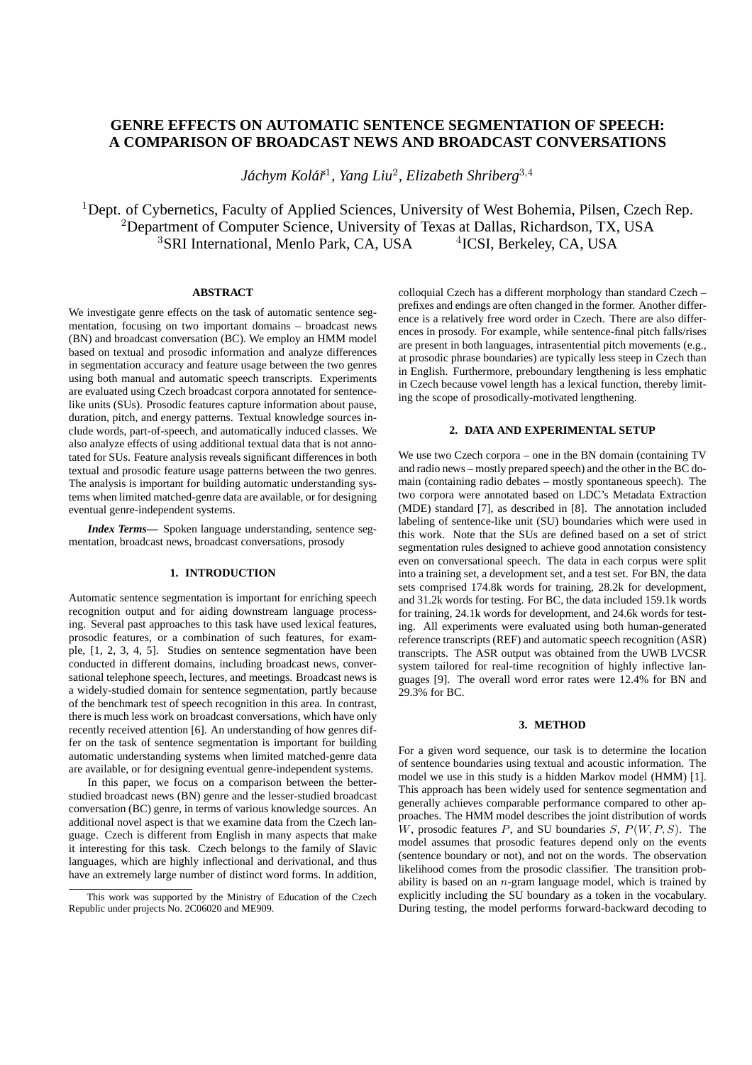# **GENRE EFFECTS ON AUTOMATIC SENTENCE SEGMENTATION OF SPEECH: A COMPARISON OF BROADCAST NEWS AND BROADCAST CONVERSATIONS**

*Jachym Kol ´ a´rˇ* 1 *, Yang Liu*<sup>2</sup> *, Elizabeth Shriberg*<sup>3</sup>,<sup>4</sup>

<sup>1</sup>Dept. of Cybernetics, Faculty of Applied Sciences, University of West Bohemia, Pilsen, Czech Rep. <sup>2</sup>Department of Computer Science, University of Texas at Dallas, Richardson, TX, USA <sup>3</sup>SRI International, Menlo Park, CA, USA <sup>4</sup>ICSI, Berkeley, CA, USA

# **ABSTRACT**

We investigate genre effects on the task of automatic sentence segmentation, focusing on two important domains – broadcast news (BN) and broadcast conversation (BC). We employ an HMM model based on textual and prosodic information and analyze differences in segmentation accuracy and feature usage between the two genres using both manual and automatic speech transcripts. Experiments are evaluated using Czech broadcast corpora annotated for sentencelike units (SUs). Prosodic features capture information about pause, duration, pitch, and energy patterns. Textual knowledge sources include words, part-of-speech, and automatically induced classes. We also analyze effects of using additional textual data that is not annotated for SUs. Feature analysis reveals significant differences in both textual and prosodic feature usage patterns between the two genres. The analysis is important for building automatic understanding systems when limited matched-genre data are available, or for designing eventual genre-independent systems.

*Index Terms***—** Spoken language understanding, sentence segmentation, broadcast news, broadcast conversations, prosody

# **1. INTRODUCTION**

Automatic sentence segmentation is important for enriching speech recognition output and for aiding downstream language processing. Several past approaches to this task have used lexical features, prosodic features, or a combination of such features, for example, [1, 2, 3, 4, 5]. Studies on sentence segmentation have been conducted in different domains, including broadcast news, conversational telephone speech, lectures, and meetings. Broadcast news is a widely-studied domain for sentence segmentation, partly because of the benchmark test of speech recognition in this area. In contrast, there is much less work on broadcast conversations, which have only recently received attention [6]. An understanding of how genres differ on the task of sentence segmentation is important for building automatic understanding systems when limited matched-genre data are available, or for designing eventual genre-independent systems.

In this paper, we focus on a comparison between the betterstudied broadcast news (BN) genre and the lesser-studied broadcast conversation (BC) genre, in terms of various knowledge sources. An additional novel aspect is that we examine data from the Czech language. Czech is different from English in many aspects that make it interesting for this task. Czech belongs to the family of Slavic languages, which are highly inflectional and derivational, and thus have an extremely large number of distinct word forms. In addition,

colloquial Czech has a different morphology than standard Czech – prefixes and endings are often changed in the former. Another difference is a relatively free word order in Czech. There are also differences in prosody. For example, while sentence-final pitch falls/rises are present in both languages, intrasentential pitch movements (e.g., at prosodic phrase boundaries) are typically less steep in Czech than in English. Furthermore, preboundary lengthening is less emphatic in Czech because vowel length has a lexical function, thereby limiting the scope of prosodically-motivated lengthening.

### **2. DATA AND EXPERIMENTAL SETUP**

We use two Czech corpora – one in the BN domain (containing TV and radio news – mostly prepared speech) and the other in the BC domain (containing radio debates – mostly spontaneous speech). The two corpora were annotated based on LDC's Metadata Extraction (MDE) standard [7], as described in [8]. The annotation included labeling of sentence-like unit (SU) boundaries which were used in this work. Note that the SUs are defined based on a set of strict segmentation rules designed to achieve good annotation consistency even on conversational speech. The data in each corpus were split into a training set, a development set, and a test set. For BN, the data sets comprised 174.8k words for training, 28.2k for development, and 31.2k words for testing. For BC, the data included 159.1k words for training, 24.1k words for development, and 24.6k words for testing. All experiments were evaluated using both human-generated reference transcripts (REF) and automatic speech recognition (ASR) transcripts. The ASR output was obtained from the UWB LVCSR system tailored for real-time recognition of highly inflective languages [9]. The overall word error rates were 12.4% for BN and 29.3% for BC.

### **3. METHOD**

For a given word sequence, our task is to determine the location of sentence boundaries using textual and acoustic information. The model we use in this study is a hidden Markov model (HMM) [1]. This approach has been widely used for sentence segmentation and generally achieves comparable performance compared to other approaches. The HMM model describes the joint distribution of words W, prosodic features  $P$ , and SU boundaries  $S, P(W, P, S)$ . The model assumes that prosodic features depend only on the events (sentence boundary or not), and not on the words. The observation likelihood comes from the prosodic classifier. The transition probability is based on an  $n$ -gram language model, which is trained by explicitly including the SU boundary as a token in the vocabulary. During testing, the model performs forward-backward decoding to

This work was supported by the Ministry of Education of the Czech Republic under projects No. 2C06020 and ME909.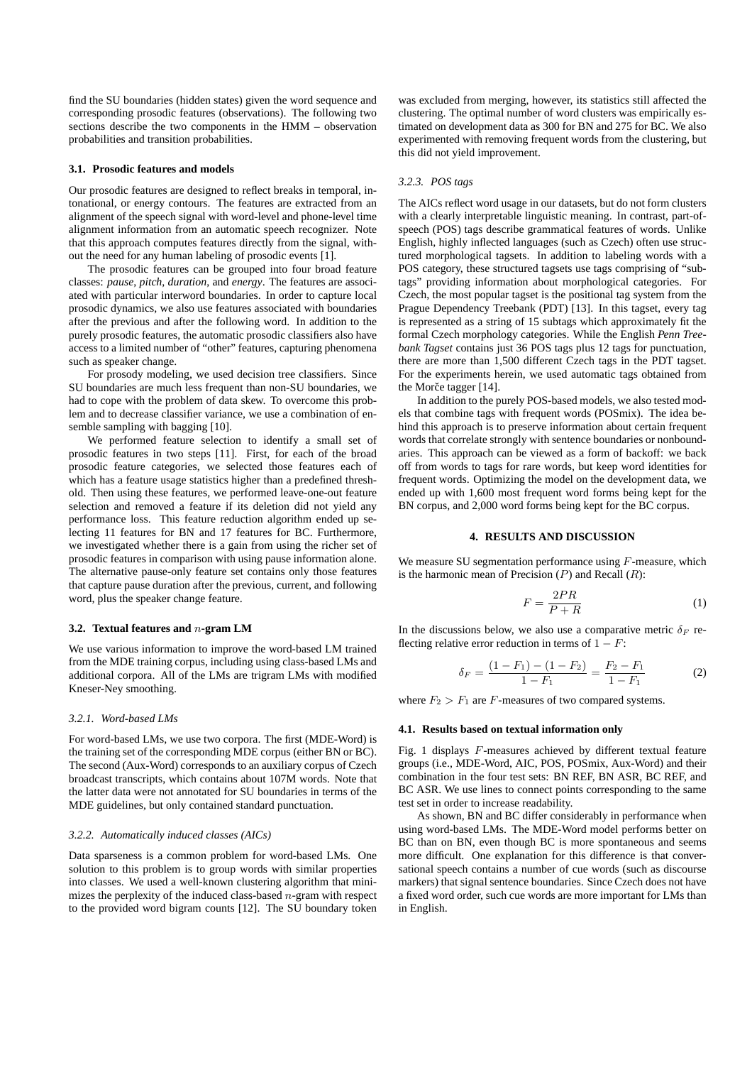find the SU boundaries (hidden states) given the word sequence and corresponding prosodic features (observations). The following two sections describe the two components in the HMM – observation probabilities and transition probabilities.

#### **3.1. Prosodic features and models**

Our prosodic features are designed to reflect breaks in temporal, intonational, or energy contours. The features are extracted from an alignment of the speech signal with word-level and phone-level time alignment information from an automatic speech recognizer. Note that this approach computes features directly from the signal, without the need for any human labeling of prosodic events [1].

The prosodic features can be grouped into four broad feature classes: *pause*, *pitch*, *duration*, and *energy*. The features are associated with particular interword boundaries. In order to capture local prosodic dynamics, we also use features associated with boundaries after the previous and after the following word. In addition to the purely prosodic features, the automatic prosodic classifiers also have access to a limited number of "other" features, capturing phenomena such as speaker change.

For prosody modeling, we used decision tree classifiers. Since SU boundaries are much less frequent than non-SU boundaries, we had to cope with the problem of data skew. To overcome this problem and to decrease classifier variance, we use a combination of ensemble sampling with bagging [10].

We performed feature selection to identify a small set of prosodic features in two steps [11]. First, for each of the broad prosodic feature categories, we selected those features each of which has a feature usage statistics higher than a predefined threshold. Then using these features, we performed leave-one-out feature selection and removed a feature if its deletion did not yield any performance loss. This feature reduction algorithm ended up selecting 11 features for BN and 17 features for BC. Furthermore, we investigated whether there is a gain from using the richer set of prosodic features in comparison with using pause information alone. The alternative pause-only feature set contains only those features that capture pause duration after the previous, current, and following word, plus the speaker change feature.

## **3.2. Textual features and** n**-gram LM**

We use various information to improve the word-based LM trained from the MDE training corpus, including using class-based LMs and additional corpora. All of the LMs are trigram LMs with modified Kneser-Ney smoothing.

### *3.2.1. Word-based LMs*

For word-based LMs, we use two corpora. The first (MDE-Word) is the training set of the corresponding MDE corpus (either BN or BC). The second (Aux-Word) corresponds to an auxiliary corpus of Czech broadcast transcripts, which contains about 107M words. Note that the latter data were not annotated for SU boundaries in terms of the MDE guidelines, but only contained standard punctuation.

### *3.2.2. Automatically induced classes (AICs)*

Data sparseness is a common problem for word-based LMs. One solution to this problem is to group words with similar properties into classes. We used a well-known clustering algorithm that minimizes the perplexity of the induced class-based  $n$ -gram with respect to the provided word bigram counts [12]. The SU boundary token

was excluded from merging, however, its statistics still affected the clustering. The optimal number of word clusters was empirically estimated on development data as 300 for BN and 275 for BC. We also experimented with removing frequent words from the clustering, but this did not yield improvement.

#### *3.2.3. POS tags*

The AICs reflect word usage in our datasets, but do not form clusters with a clearly interpretable linguistic meaning. In contrast, part-ofspeech (POS) tags describe grammatical features of words. Unlike English, highly inflected languages (such as Czech) often use structured morphological tagsets. In addition to labeling words with a POS category, these structured tagsets use tags comprising of "subtags" providing information about morphological categories. For Czech, the most popular tagset is the positional tag system from the Prague Dependency Treebank (PDT) [13]. In this tagset, every tag is represented as a string of 15 subtags which approximately fit the formal Czech morphology categories. While the English *Penn Treebank Tagset* contains just 36 POS tags plus 12 tags for punctuation, there are more than 1,500 different Czech tags in the PDT tagset. For the experiments herein, we used automatic tags obtained from the Morče tagger  $[14]$ .

In addition to the purely POS-based models, we also tested models that combine tags with frequent words (POSmix). The idea behind this approach is to preserve information about certain frequent words that correlate strongly with sentence boundaries or nonboundaries. This approach can be viewed as a form of backoff: we back off from words to tags for rare words, but keep word identities for frequent words. Optimizing the model on the development data, we ended up with 1,600 most frequent word forms being kept for the BN corpus, and 2,000 word forms being kept for the BC corpus.

### **4. RESULTS AND DISCUSSION**

We measure SU segmentation performance using  $F$ -measure, which is the harmonic mean of Precision  $(P)$  and Recall  $(R)$ :

$$
F = \frac{2PR}{P + R} \tag{1}
$$

In the discussions below, we also use a comparative metric  $\delta_F$  reflecting relative error reduction in terms of  $1 - F$ :

$$
\delta_F = \frac{(1 - F_1) - (1 - F_2)}{1 - F_1} = \frac{F_2 - F_1}{1 - F_1}
$$
 (2)

where  $F_2 > F_1$  are F-measures of two compared systems.

#### **4.1. Results based on textual information only**

Fig. 1 displays F-measures achieved by different textual feature groups (i.e., MDE-Word, AIC, POS, POSmix, Aux-Word) and their combination in the four test sets: BN REF, BN ASR, BC REF, and BC ASR. We use lines to connect points corresponding to the same test set in order to increase readability.

As shown, BN and BC differ considerably in performance when using word-based LMs. The MDE-Word model performs better on BC than on BN, even though BC is more spontaneous and seems more difficult. One explanation for this difference is that conversational speech contains a number of cue words (such as discourse markers) that signal sentence boundaries. Since Czech does not have a fixed word order, such cue words are more important for LMs than in English.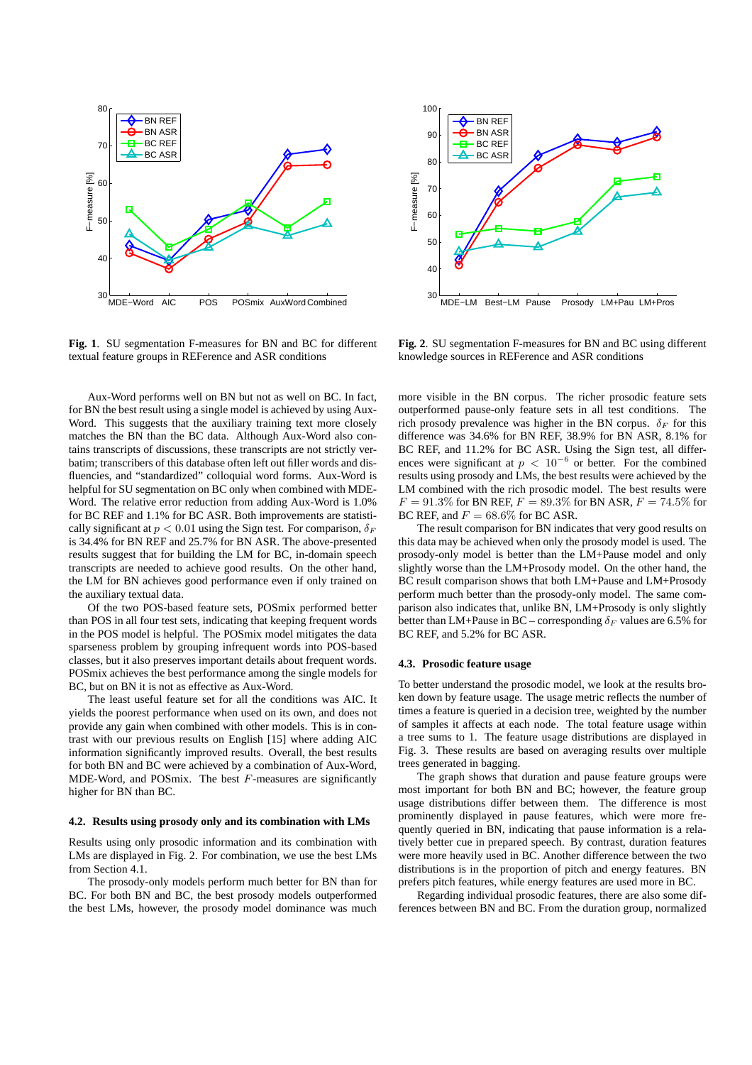

**Fig. 1**. SU segmentation F-measures for BN and BC for different textual feature groups in REFerence and ASR conditions

Aux-Word performs well on BN but not as well on BC. In fact, for BN the best result using a single model is achieved by using Aux-Word. This suggests that the auxiliary training text more closely matches the BN than the BC data. Although Aux-Word also contains transcripts of discussions, these transcripts are not strictly verbatim; transcribers of this database often left out filler words and disfluencies, and "standardized" colloquial word forms. Aux-Word is helpful for SU segmentation on BC only when combined with MDE-Word. The relative error reduction from adding Aux-Word is 1.0% for BC REF and 1.1% for BC ASR. Both improvements are statistically significant at  $p < 0.01$  using the Sign test. For comparison,  $\delta_F$ is 34.4% for BN REF and 25.7% for BN ASR. The above-presented results suggest that for building the LM for BC, in-domain speech transcripts are needed to achieve good results. On the other hand, the LM for BN achieves good performance even if only trained on the auxiliary textual data.

Of the two POS-based feature sets, POSmix performed better than POS in all four test sets, indicating that keeping frequent words in the POS model is helpful. The POSmix model mitigates the data sparseness problem by grouping infrequent words into POS-based classes, but it also preserves important details about frequent words. POSmix achieves the best performance among the single models for BC, but on BN it is not as effective as Aux-Word.

The least useful feature set for all the conditions was AIC. It yields the poorest performance when used on its own, and does not provide any gain when combined with other models. This is in contrast with our previous results on English [15] where adding AIC information significantly improved results. Overall, the best results for both BN and BC were achieved by a combination of Aux-Word, MDE-Word, and POSmix. The best  $F$ -measures are significantly higher for BN than BC.

### **4.2. Results using prosody only and its combination with LMs**

Results using only prosodic information and its combination with LMs are displayed in Fig. 2. For combination, we use the best LMs from Section 4.1.

The prosody-only models perform much better for BN than for BC. For both BN and BC, the best prosody models outperformed the best LMs, however, the prosody model dominance was much



**Fig. 2**. SU segmentation F-measures for BN and BC using different knowledge sources in REFerence and ASR conditions

more visible in the BN corpus. The richer prosodic feature sets outperformed pause-only feature sets in all test conditions. The rich prosody prevalence was higher in the BN corpus.  $\delta_F$  for this difference was 34.6% for BN REF, 38.9% for BN ASR, 8.1% for BC REF, and 11.2% for BC ASR. Using the Sign test, all differences were significant at  $p < 10^{-6}$  or better. For the combined results using prosody and LMs, the best results were achieved by the LM combined with the rich prosodic model. The best results were  $F=91.3\%$  for BN REF,  $F=89.3\%$  for BN ASR,  $F=74.5\%$  for BC REF, and  $F = 68.6\%$  for BC ASR.

The result comparison for BN indicates that very good results on this data may be achieved when only the prosody model is used. The prosody-only model is better than the LM+Pause model and only slightly worse than the LM+Prosody model. On the other hand, the BC result comparison shows that both LM+Pause and LM+Prosody perform much better than the prosody-only model. The same comparison also indicates that, unlike BN, LM+Prosody is only slightly better than LM+Pause in BC – corresponding  $\delta_F$  values are 6.5% for BC REF, and 5.2% for BC ASR.

### **4.3. Prosodic feature usage**

To better understand the prosodic model, we look at the results broken down by feature usage. The usage metric reflects the number of times a feature is queried in a decision tree, weighted by the number of samples it affects at each node. The total feature usage within a tree sums to 1. The feature usage distributions are displayed in Fig. 3. These results are based on averaging results over multiple trees generated in bagging.

The graph shows that duration and pause feature groups were most important for both BN and BC; however, the feature group usage distributions differ between them. The difference is most prominently displayed in pause features, which were more frequently queried in BN, indicating that pause information is a relatively better cue in prepared speech. By contrast, duration features were more heavily used in BC. Another difference between the two distributions is in the proportion of pitch and energy features. BN prefers pitch features, while energy features are used more in BC.

Regarding individual prosodic features, there are also some differences between BN and BC. From the duration group, normalized